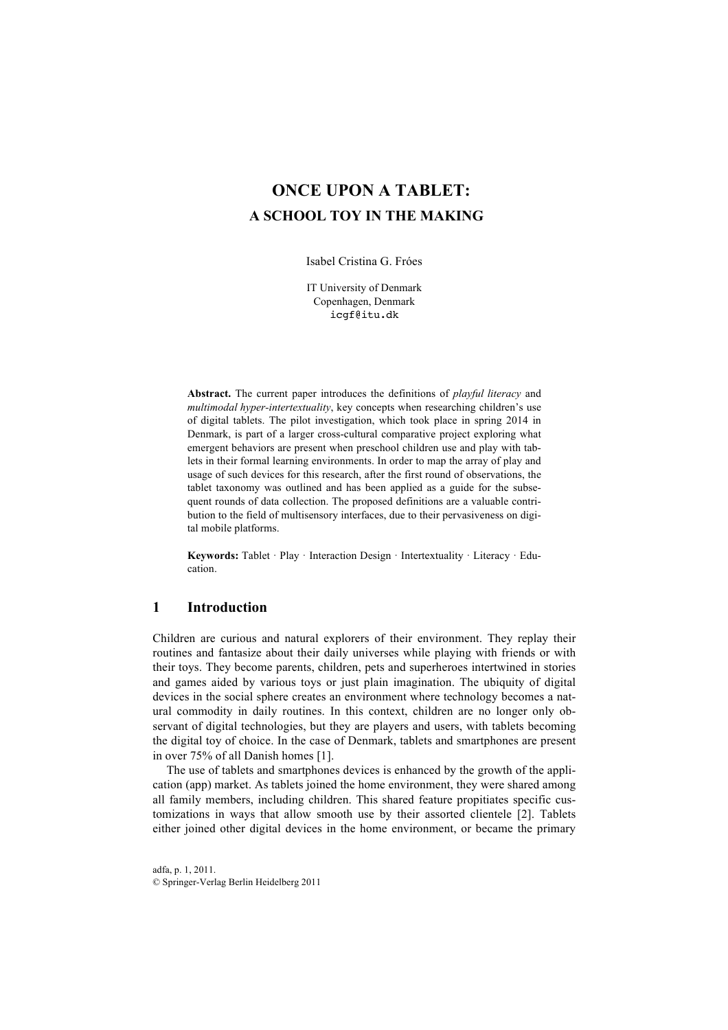# **ONCE UPON A TABLET: A SCHOOL TOY IN THE MAKING**

Isabel Cristina G. Fróes

IT University of Denmark Copenhagen, Denmark icgf@itu.dk

**Abstract.** The current paper introduces the definitions of *playful literacy* and *multimodal hyper-intertextuality*, key concepts when researching children's use of digital tablets. The pilot investigation, which took place in spring 2014 in Denmark, is part of a larger cross-cultural comparative project exploring what emergent behaviors are present when preschool children use and play with tablets in their formal learning environments. In order to map the array of play and usage of such devices for this research, after the first round of observations, the tablet taxonomy was outlined and has been applied as a guide for the subsequent rounds of data collection. The proposed definitions are a valuable contribution to the field of multisensory interfaces, due to their pervasiveness on digital mobile platforms.

**Keywords:** Tablet · Play · Interaction Design · Intertextuality · Literacy · Education.

#### **1 Introduction**

Children are curious and natural explorers of their environment. They replay their routines and fantasize about their daily universes while playing with friends or with their toys. They become parents, children, pets and superheroes intertwined in stories and games aided by various toys or just plain imagination. The ubiquity of digital devices in the social sphere creates an environment where technology becomes a natural commodity in daily routines. In this context, children are no longer only observant of digital technologies, but they are players and users, with tablets becoming the digital toy of choice. In the case of Denmark, tablets and smartphones are present in over 75% of all Danish homes [1].

The use of tablets and smartphones devices is enhanced by the growth of the application (app) market. As tablets joined the home environment, they were shared among all family members, including children. This shared feature propitiates specific customizations in ways that allow smooth use by their assorted clientele [2]. Tablets either joined other digital devices in the home environment, or became the primary

adfa, p. 1, 2011. © Springer-Verlag Berlin Heidelberg 2011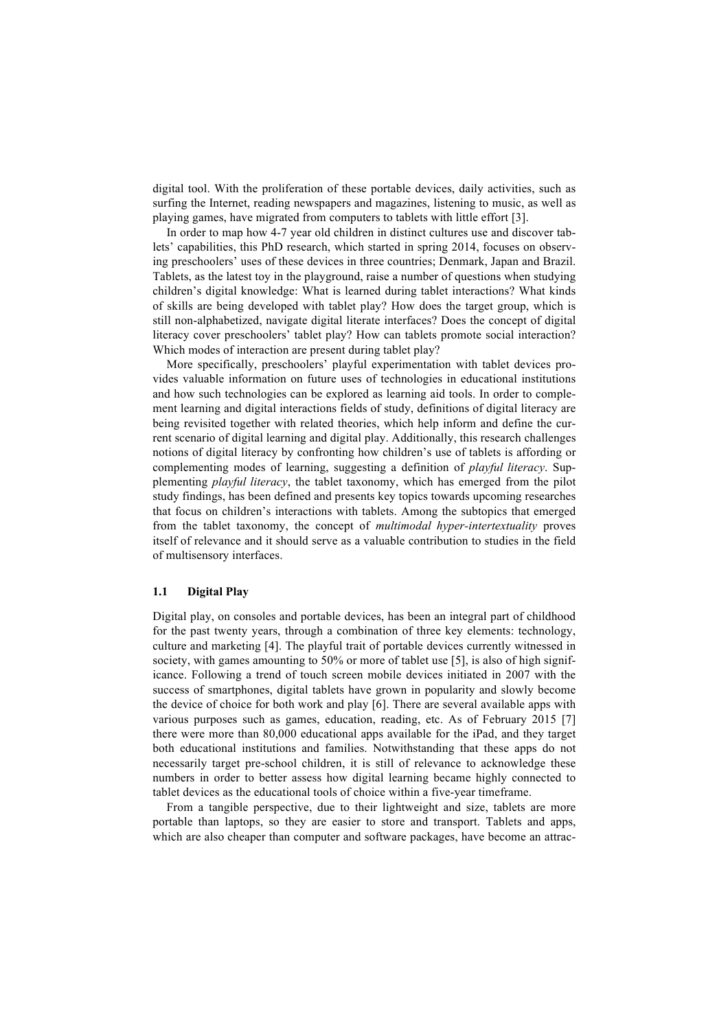digital tool. With the proliferation of these portable devices, daily activities, such as surfing the Internet, reading newspapers and magazines, listening to music, as well as playing games, have migrated from computers to tablets with little effort [3].

In order to map how 4-7 year old children in distinct cultures use and discover tablets' capabilities, this PhD research, which started in spring 2014, focuses on observing preschoolers' uses of these devices in three countries; Denmark, Japan and Brazil. Tablets, as the latest toy in the playground, raise a number of questions when studying children's digital knowledge: What is learned during tablet interactions? What kinds of skills are being developed with tablet play? How does the target group, which is still non-alphabetized, navigate digital literate interfaces? Does the concept of digital literacy cover preschoolers' tablet play? How can tablets promote social interaction? Which modes of interaction are present during tablet play?

More specifically, preschoolers' playful experimentation with tablet devices provides valuable information on future uses of technologies in educational institutions and how such technologies can be explored as learning aid tools. In order to complement learning and digital interactions fields of study, definitions of digital literacy are being revisited together with related theories, which help inform and define the current scenario of digital learning and digital play. Additionally, this research challenges notions of digital literacy by confronting how children's use of tablets is affording or complementing modes of learning, suggesting a definition of *playful literacy*. Supplementing *playful literacy*, the tablet taxonomy, which has emerged from the pilot study findings, has been defined and presents key topics towards upcoming researches that focus on children's interactions with tablets. Among the subtopics that emerged from the tablet taxonomy, the concept of *multimodal hyper-intertextuality* proves itself of relevance and it should serve as a valuable contribution to studies in the field of multisensory interfaces.

#### **1.1 Digital Play**

Digital play, on consoles and portable devices, has been an integral part of childhood for the past twenty years, through a combination of three key elements: technology, culture and marketing [4]. The playful trait of portable devices currently witnessed in society, with games amounting to 50% or more of tablet use [5], is also of high significance. Following a trend of touch screen mobile devices initiated in 2007 with the success of smartphones, digital tablets have grown in popularity and slowly become the device of choice for both work and play [6]. There are several available apps with various purposes such as games, education, reading, etc. As of February 2015 [7] there were more than 80,000 educational apps available for the iPad, and they target both educational institutions and families. Notwithstanding that these apps do not necessarily target pre-school children, it is still of relevance to acknowledge these numbers in order to better assess how digital learning became highly connected to tablet devices as the educational tools of choice within a five-year timeframe.

From a tangible perspective, due to their lightweight and size, tablets are more portable than laptops, so they are easier to store and transport. Tablets and apps, which are also cheaper than computer and software packages, have become an attrac-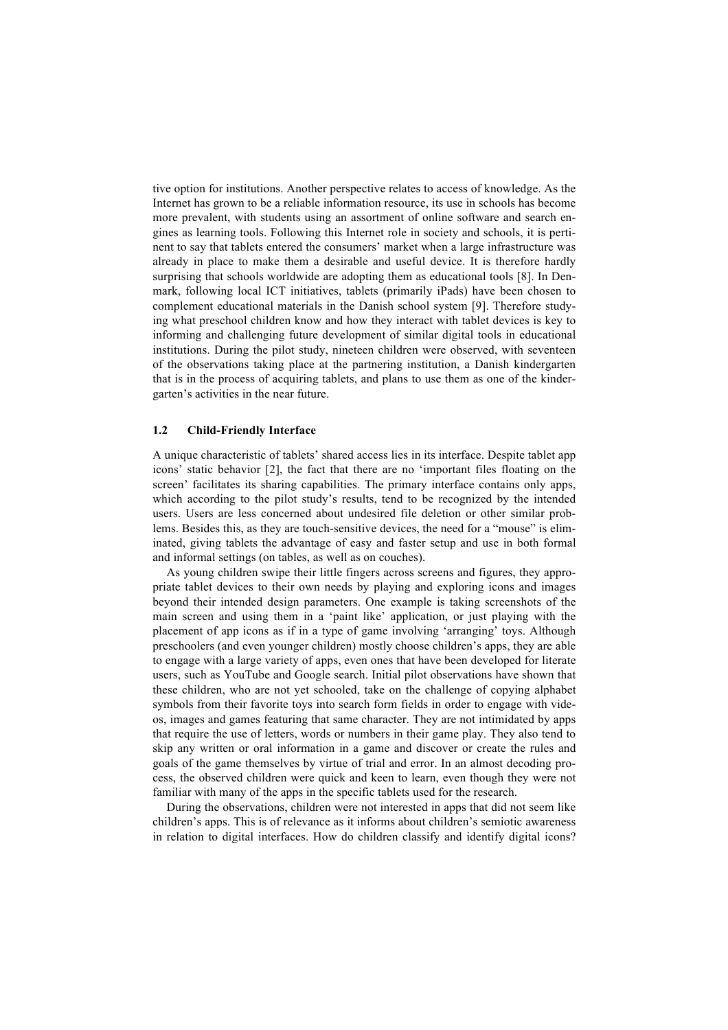tive option for institutions. Another perspective relates to access of knowledge. As the Internet has grown to be a reliable information resource, its use in schools has become more prevalent, with students using an assortment of online software and search engines as learning tools. Following this Internet role in society and schools, it is pertinent to say that tablets entered the consumers' market when a large infrastructure was already in place to make them a desirable and useful device. It is therefore hardly surprising that schools worldwide are adopting them as educational tools [8]. In Denmark, following local ICT initiatives, tablets (primarily iPads) have been chosen to complement educational materials in the Danish school system [9]. Therefore studying what preschool children know and how they interact with tablet devices is key to informing and challenging future development of similar digital tools in educational institutions. During the pilot study, nineteen children were observed, with seventeen of the observations taking place at the partnering institution, a Danish kindergarten that is in the process of acquiring tablets, and plans to use them as one of the kindergarten's activities in the near future.

#### **1.2 Child-Friendly Interface**

A unique characteristic of tablets' shared access lies in its interface. Despite tablet app icons' static behavior [2], the fact that there are no 'important files floating on the screen' facilitates its sharing capabilities. The primary interface contains only apps, which according to the pilot study's results, tend to be recognized by the intended users. Users are less concerned about undesired file deletion or other similar problems. Besides this, as they are touch-sensitive devices, the need for a "mouse" is eliminated, giving tablets the advantage of easy and faster setup and use in both formal and informal settings (on tables, as well as on couches).

As young children swipe their little fingers across screens and figures, they appropriate tablet devices to their own needs by playing and exploring icons and images beyond their intended design parameters. One example is taking screenshots of the main screen and using them in a 'paint like' application, or just playing with the placement of app icons as if in a type of game involving 'arranging' toys. Although preschoolers (and even younger children) mostly choose children's apps, they are able to engage with a large variety of apps, even ones that have been developed for literate users, such as YouTube and Google search. Initial pilot observations have shown that these children, who are not yet schooled, take on the challenge of copying alphabet symbols from their favorite toys into search form fields in order to engage with videos, images and games featuring that same character. They are not intimidated by apps that require the use of letters, words or numbers in their game play. They also tend to skip any written or oral information in a game and discover or create the rules and goals of the game themselves by virtue of trial and error. In an almost decoding process, the observed children were quick and keen to learn, even though they were not familiar with many of the apps in the specific tablets used for the research.

During the observations, children were not interested in apps that did not seem like children's apps. This is of relevance as it informs about children's semiotic awareness in relation to digital interfaces. How do children classify and identify digital icons?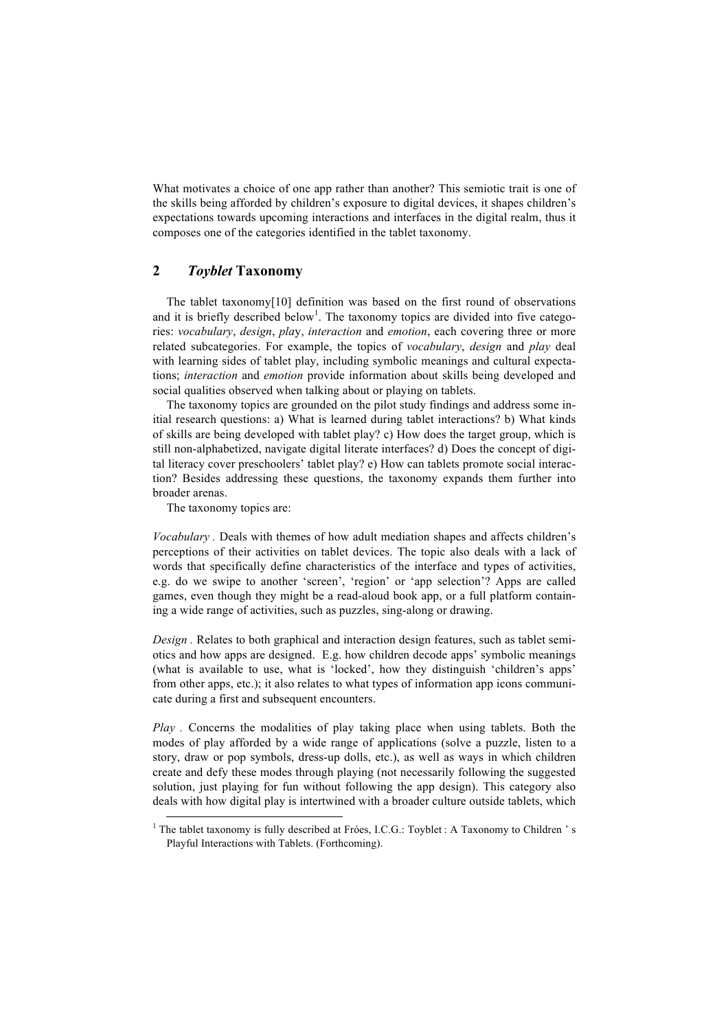What motivates a choice of one app rather than another? This semiotic trait is one of the skills being afforded by children's exposure to digital devices, it shapes children's expectations towards upcoming interactions and interfaces in the digital realm, thus it composes one of the categories identified in the tablet taxonomy.

# **2** *Toyblet* **Taxonomy**

The tablet taxonomy[10] definition was based on the first round of observations and it is briefly described below<sup>1</sup>. The taxonomy topics are divided into five categories: *vocabulary*, *design*, *pla*y, *interaction* and *emotion*, each covering three or more related subcategories. For example, the topics of *vocabulary*, *design* and *play* deal with learning sides of tablet play, including symbolic meanings and cultural expectations; *interaction* and *emotion* provide information about skills being developed and social qualities observed when talking about or playing on tablets.

The taxonomy topics are grounded on the pilot study findings and address some initial research questions: a) What is learned during tablet interactions? b) What kinds of skills are being developed with tablet play? c) How does the target group, which is still non-alphabetized, navigate digital literate interfaces? d) Does the concept of digital literacy cover preschoolers' tablet play? e) How can tablets promote social interaction? Besides addressing these questions, the taxonomy expands them further into broader arenas.

The taxonomy topics are:

*Vocabulary .* Deals with themes of how adult mediation shapes and affects children's perceptions of their activities on tablet devices. The topic also deals with a lack of words that specifically define characteristics of the interface and types of activities, e.g. do we swipe to another 'screen', 'region' or 'app selection'? Apps are called games, even though they might be a read-aloud book app, or a full platform containing a wide range of activities, such as puzzles, sing-along or drawing.

*Design .* Relates to both graphical and interaction design features, such as tablet semiotics and how apps are designed. E.g. how children decode apps' symbolic meanings (what is available to use, what is 'locked', how they distinguish 'children's apps' from other apps, etc.); it also relates to what types of information app icons communicate during a first and subsequent encounters.

*Play .* Concerns the modalities of play taking place when using tablets. Both the modes of play afforded by a wide range of applications (solve a puzzle, listen to a story, draw or pop symbols, dress-up dolls, etc.), as well as ways in which children create and defy these modes through playing (not necessarily following the suggested solution, just playing for fun without following the app design). This category also deals with how digital play is intertwined with a broader culture outside tablets, which

<sup>&</sup>lt;sup>1</sup> The tablet taxonomy is fully described at Fróes, I.C.G.: Toyblet : A Taxonomy to Children ' s Playful Interactions with Tablets. (Forthcoming).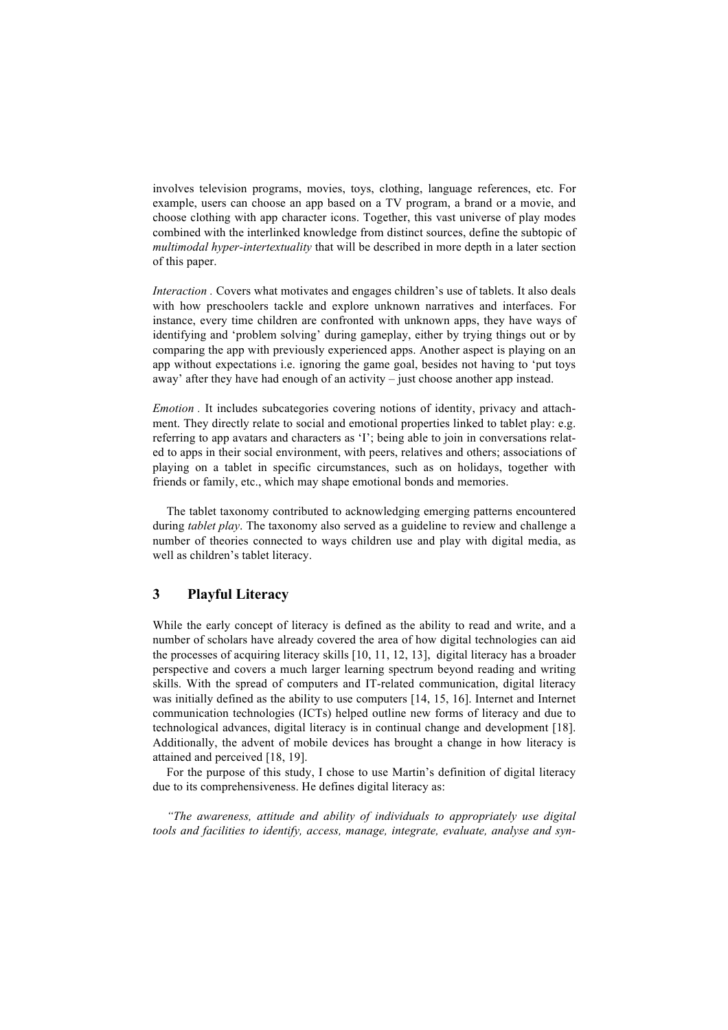involves television programs, movies, toys, clothing, language references, etc. For example, users can choose an app based on a TV program, a brand or a movie, and choose clothing with app character icons. Together, this vast universe of play modes combined with the interlinked knowledge from distinct sources, define the subtopic of *multimodal hyper-intertextuality* that will be described in more depth in a later section of this paper.

*Interaction .* Covers what motivates and engages children's use of tablets. It also deals with how preschoolers tackle and explore unknown narratives and interfaces. For instance, every time children are confronted with unknown apps, they have ways of identifying and 'problem solving' during gameplay, either by trying things out or by comparing the app with previously experienced apps. Another aspect is playing on an app without expectations i.e. ignoring the game goal, besides not having to 'put toys away' after they have had enough of an activity – just choose another app instead.

*Emotion .* It includes subcategories covering notions of identity, privacy and attachment. They directly relate to social and emotional properties linked to tablet play: e.g. referring to app avatars and characters as 'I'; being able to join in conversations related to apps in their social environment, with peers, relatives and others; associations of playing on a tablet in specific circumstances, such as on holidays, together with friends or family, etc., which may shape emotional bonds and memories.

The tablet taxonomy contributed to acknowledging emerging patterns encountered during *tablet play*. The taxonomy also served as a guideline to review and challenge a number of theories connected to ways children use and play with digital media, as well as children's tablet literacy.

## **3 Playful Literacy**

While the early concept of literacy is defined as the ability to read and write, and a number of scholars have already covered the area of how digital technologies can aid the processes of acquiring literacy skills [10, 11, 12, 13], digital literacy has a broader perspective and covers a much larger learning spectrum beyond reading and writing skills. With the spread of computers and IT-related communication, digital literacy was initially defined as the ability to use computers [14, 15, 16]. Internet and Internet communication technologies (ICTs) helped outline new forms of literacy and due to technological advances, digital literacy is in continual change and development [18]. Additionally, the advent of mobile devices has brought a change in how literacy is attained and perceived [18, 19].

For the purpose of this study, I chose to use Martin's definition of digital literacy due to its comprehensiveness. He defines digital literacy as:

*"The awareness, attitude and ability of individuals to appropriately use digital tools and facilities to identify, access, manage, integrate, evaluate, analyse and syn-*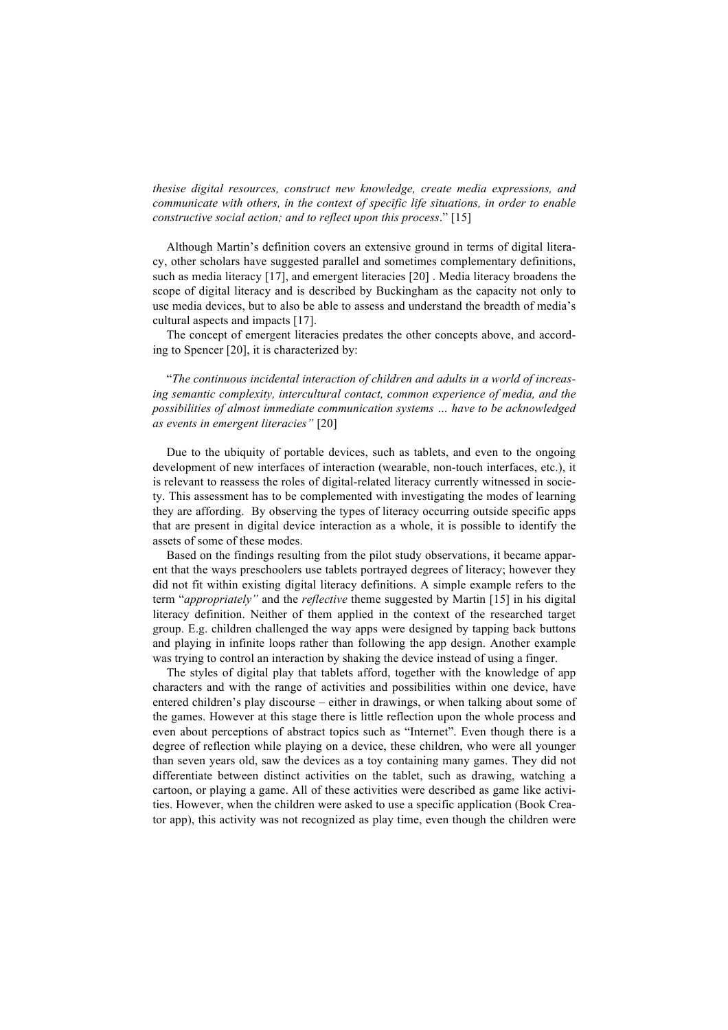*thesise digital resources, construct new knowledge, create media expressions, and communicate with others, in the context of specific life situations, in order to enable constructive social action; and to reflect upon this process*." [15]

Although Martin's definition covers an extensive ground in terms of digital literacy, other scholars have suggested parallel and sometimes complementary definitions, such as media literacy [17], and emergent literacies [20] . Media literacy broadens the scope of digital literacy and is described by Buckingham as the capacity not only to use media devices, but to also be able to assess and understand the breadth of media's cultural aspects and impacts [17].

The concept of emergent literacies predates the other concepts above, and according to Spencer [20], it is characterized by:

"*The continuous incidental interaction of children and adults in a world of increasing semantic complexity, intercultural contact, common experience of media, and the possibilities of almost immediate communication systems … have to be acknowledged as events in emergent literacies"* [20]

Due to the ubiquity of portable devices, such as tablets, and even to the ongoing development of new interfaces of interaction (wearable, non-touch interfaces, etc.), it is relevant to reassess the roles of digital-related literacy currently witnessed in society. This assessment has to be complemented with investigating the modes of learning they are affording. By observing the types of literacy occurring outside specific apps that are present in digital device interaction as a whole, it is possible to identify the assets of some of these modes.

Based on the findings resulting from the pilot study observations, it became apparent that the ways preschoolers use tablets portrayed degrees of literacy; however they did not fit within existing digital literacy definitions. A simple example refers to the term "*appropriately"* and the *reflective* theme suggested by Martin [15] in his digital literacy definition. Neither of them applied in the context of the researched target group. E.g. children challenged the way apps were designed by tapping back buttons and playing in infinite loops rather than following the app design. Another example was trying to control an interaction by shaking the device instead of using a finger.

The styles of digital play that tablets afford, together with the knowledge of app characters and with the range of activities and possibilities within one device, have entered children's play discourse – either in drawings, or when talking about some of the games. However at this stage there is little reflection upon the whole process and even about perceptions of abstract topics such as "Internet". Even though there is a degree of reflection while playing on a device, these children, who were all younger than seven years old, saw the devices as a toy containing many games. They did not differentiate between distinct activities on the tablet, such as drawing, watching a cartoon, or playing a game. All of these activities were described as game like activities. However, when the children were asked to use a specific application (Book Creator app), this activity was not recognized as play time, even though the children were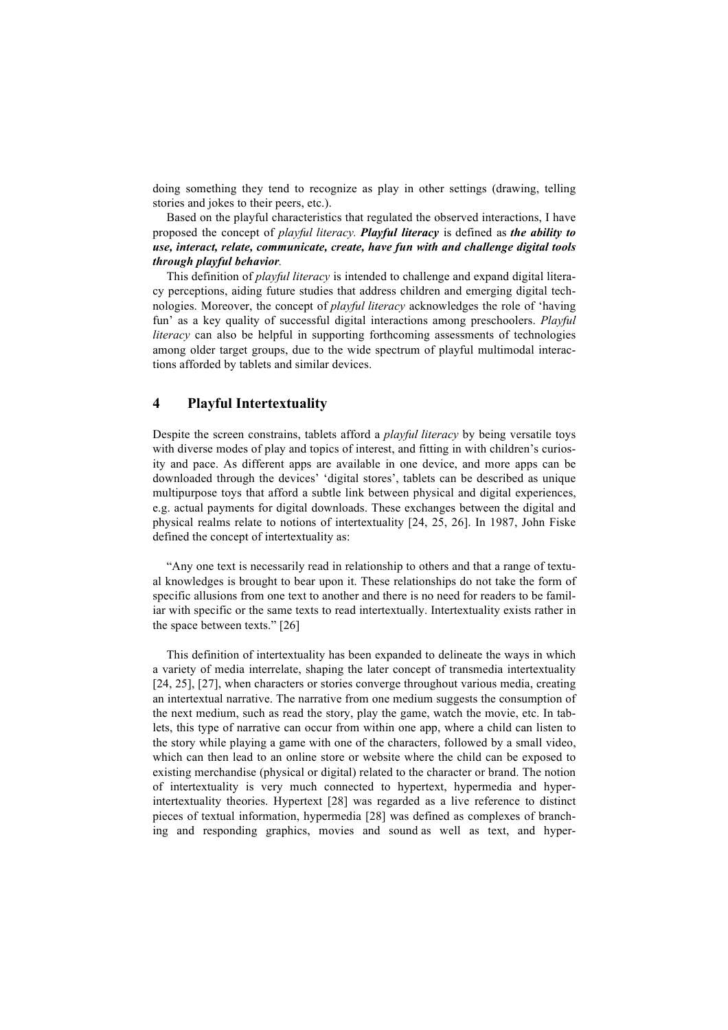doing something they tend to recognize as play in other settings (drawing, telling stories and jokes to their peers, etc.).

Based on the playful characteristics that regulated the observed interactions, I have proposed the concept of *playful literacy. Playful literacy* is defined as *the ability to use, interact, relate, communicate, create, have fun with and challenge digital tools through playful behavior.*

This definition of *playful literacy* is intended to challenge and expand digital literacy perceptions, aiding future studies that address children and emerging digital technologies. Moreover, the concept of *playful literacy* acknowledges the role of 'having fun' as a key quality of successful digital interactions among preschoolers. *Playful literacy* can also be helpful in supporting forthcoming assessments of technologies among older target groups, due to the wide spectrum of playful multimodal interactions afforded by tablets and similar devices.

#### **4 Playful Intertextuality**

Despite the screen constrains, tablets afford a *playful literacy* by being versatile toys with diverse modes of play and topics of interest, and fitting in with children's curiosity and pace. As different apps are available in one device, and more apps can be downloaded through the devices' 'digital stores', tablets can be described as unique multipurpose toys that afford a subtle link between physical and digital experiences, e.g. actual payments for digital downloads. These exchanges between the digital and physical realms relate to notions of intertextuality [24, 25, 26]. In 1987, John Fiske defined the concept of intertextuality as:

"Any one text is necessarily read in relationship to others and that a range of textual knowledges is brought to bear upon it. These relationships do not take the form of specific allusions from one text to another and there is no need for readers to be familiar with specific or the same texts to read intertextually. Intertextuality exists rather in the space between texts." [26]

This definition of intertextuality has been expanded to delineate the ways in which a variety of media interrelate, shaping the later concept of transmedia intertextuality [24, 25], [27], when characters or stories converge throughout various media, creating an intertextual narrative. The narrative from one medium suggests the consumption of the next medium, such as read the story, play the game, watch the movie, etc. In tablets, this type of narrative can occur from within one app, where a child can listen to the story while playing a game with one of the characters, followed by a small video, which can then lead to an online store or website where the child can be exposed to existing merchandise (physical or digital) related to the character or brand. The notion of intertextuality is very much connected to hypertext, hypermedia and hyperintertextuality theories. Hypertext [28] was regarded as a live reference to distinct pieces of textual information, hypermedia [28] was defined as complexes of branching and responding graphics, movies and sound as well as text, and hyper-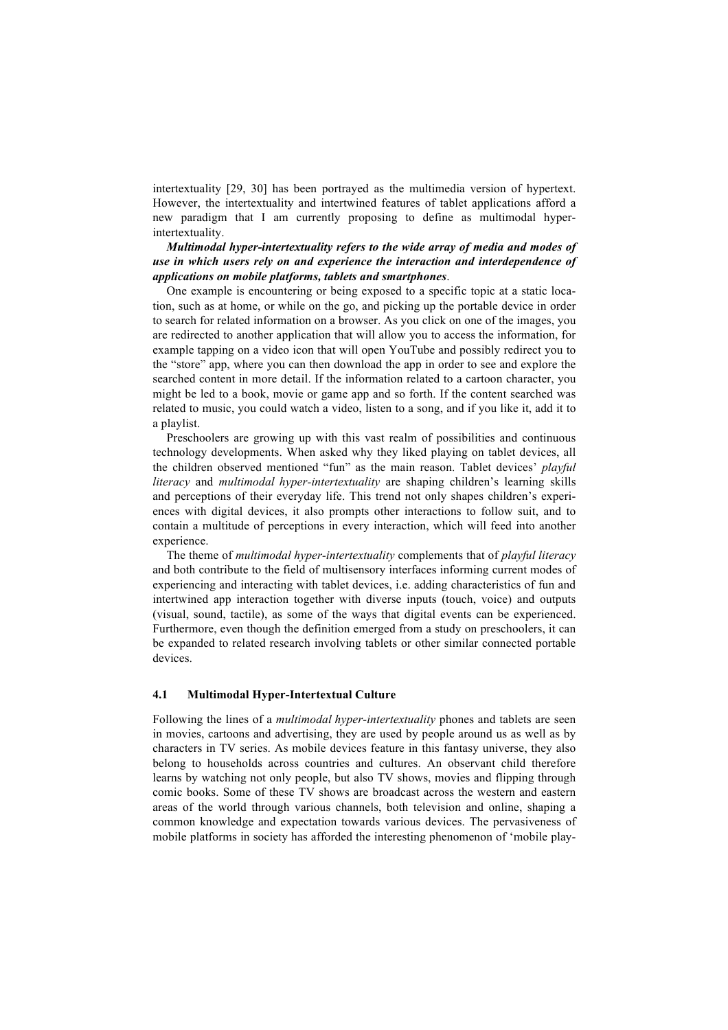intertextuality [29, 30] has been portrayed as the multimedia version of hypertext. However, the intertextuality and intertwined features of tablet applications afford a new paradigm that I am currently proposing to define as multimodal hyperintertextuality.

#### *Multimodal hyper-intertextuality refers to the wide array of media and modes of use in which users rely on and experience the interaction and interdependence of applications on mobile platforms, tablets and smartphones*.

One example is encountering or being exposed to a specific topic at a static location, such as at home, or while on the go, and picking up the portable device in order to search for related information on a browser. As you click on one of the images, you are redirected to another application that will allow you to access the information, for example tapping on a video icon that will open YouTube and possibly redirect you to the "store" app, where you can then download the app in order to see and explore the searched content in more detail. If the information related to a cartoon character, you might be led to a book, movie or game app and so forth. If the content searched was related to music, you could watch a video, listen to a song, and if you like it, add it to a playlist.

Preschoolers are growing up with this vast realm of possibilities and continuous technology developments. When asked why they liked playing on tablet devices, all the children observed mentioned "fun" as the main reason. Tablet devices' *playful literacy* and *multimodal hyper-intertextuality* are shaping children's learning skills and perceptions of their everyday life. This trend not only shapes children's experiences with digital devices, it also prompts other interactions to follow suit, and to contain a multitude of perceptions in every interaction, which will feed into another experience.

The theme of *multimodal hyper-intertextuality* complements that of *playful literacy* and both contribute to the field of multisensory interfaces informing current modes of experiencing and interacting with tablet devices, i.e. adding characteristics of fun and intertwined app interaction together with diverse inputs (touch, voice) and outputs (visual, sound, tactile), as some of the ways that digital events can be experienced. Furthermore, even though the definition emerged from a study on preschoolers, it can be expanded to related research involving tablets or other similar connected portable devices.

#### **4.1 Multimodal Hyper-Intertextual Culture**

Following the lines of a *multimodal hyper-intertextuality* phones and tablets are seen in movies, cartoons and advertising, they are used by people around us as well as by characters in TV series. As mobile devices feature in this fantasy universe, they also belong to households across countries and cultures. An observant child therefore learns by watching not only people, but also TV shows, movies and flipping through comic books. Some of these TV shows are broadcast across the western and eastern areas of the world through various channels, both television and online, shaping a common knowledge and expectation towards various devices. The pervasiveness of mobile platforms in society has afforded the interesting phenomenon of 'mobile play-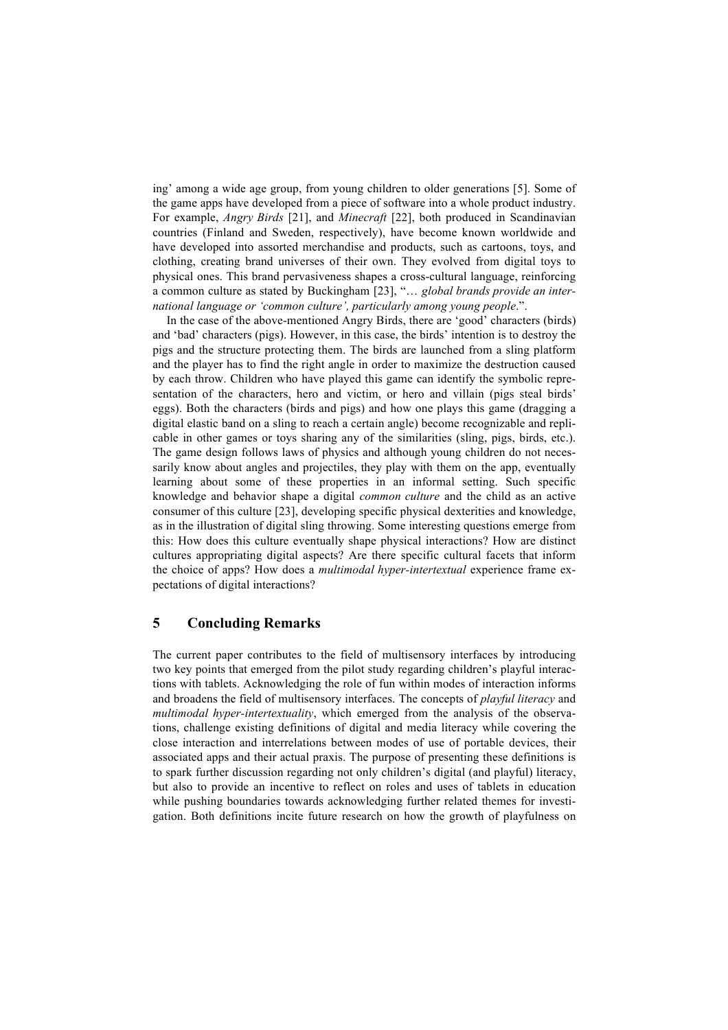ing' among a wide age group, from young children to older generations [5]. Some of the game apps have developed from a piece of software into a whole product industry. For example, *Angry Birds* [21], and *Minecraft* [22], both produced in Scandinavian countries (Finland and Sweden, respectively), have become known worldwide and have developed into assorted merchandise and products, such as cartoons, toys, and clothing, creating brand universes of their own. They evolved from digital toys to physical ones. This brand pervasiveness shapes a cross-cultural language, reinforcing a common culture as stated by Buckingham [23], "… *global brands provide an international language or 'common culture', particularly among young people*.".

In the case of the above-mentioned Angry Birds, there are 'good' characters (birds) and 'bad' characters (pigs). However, in this case, the birds' intention is to destroy the pigs and the structure protecting them. The birds are launched from a sling platform and the player has to find the right angle in order to maximize the destruction caused by each throw. Children who have played this game can identify the symbolic representation of the characters, hero and victim, or hero and villain (pigs steal birds' eggs). Both the characters (birds and pigs) and how one plays this game (dragging a digital elastic band on a sling to reach a certain angle) become recognizable and replicable in other games or toys sharing any of the similarities (sling, pigs, birds, etc.). The game design follows laws of physics and although young children do not necessarily know about angles and projectiles, they play with them on the app, eventually learning about some of these properties in an informal setting. Such specific knowledge and behavior shape a digital *common culture* and the child as an active consumer of this culture [23], developing specific physical dexterities and knowledge, as in the illustration of digital sling throwing. Some interesting questions emerge from this: How does this culture eventually shape physical interactions? How are distinct cultures appropriating digital aspects? Are there specific cultural facets that inform the choice of apps? How does a *multimodal hyper-intertextual* experience frame expectations of digital interactions?

# **5 Concluding Remarks**

The current paper contributes to the field of multisensory interfaces by introducing two key points that emerged from the pilot study regarding children's playful interactions with tablets. Acknowledging the role of fun within modes of interaction informs and broadens the field of multisensory interfaces. The concepts of *playful literacy* and *multimodal hyper-intertextuality*, which emerged from the analysis of the observations, challenge existing definitions of digital and media literacy while covering the close interaction and interrelations between modes of use of portable devices, their associated apps and their actual praxis. The purpose of presenting these definitions is to spark further discussion regarding not only children's digital (and playful) literacy, but also to provide an incentive to reflect on roles and uses of tablets in education while pushing boundaries towards acknowledging further related themes for investigation. Both definitions incite future research on how the growth of playfulness on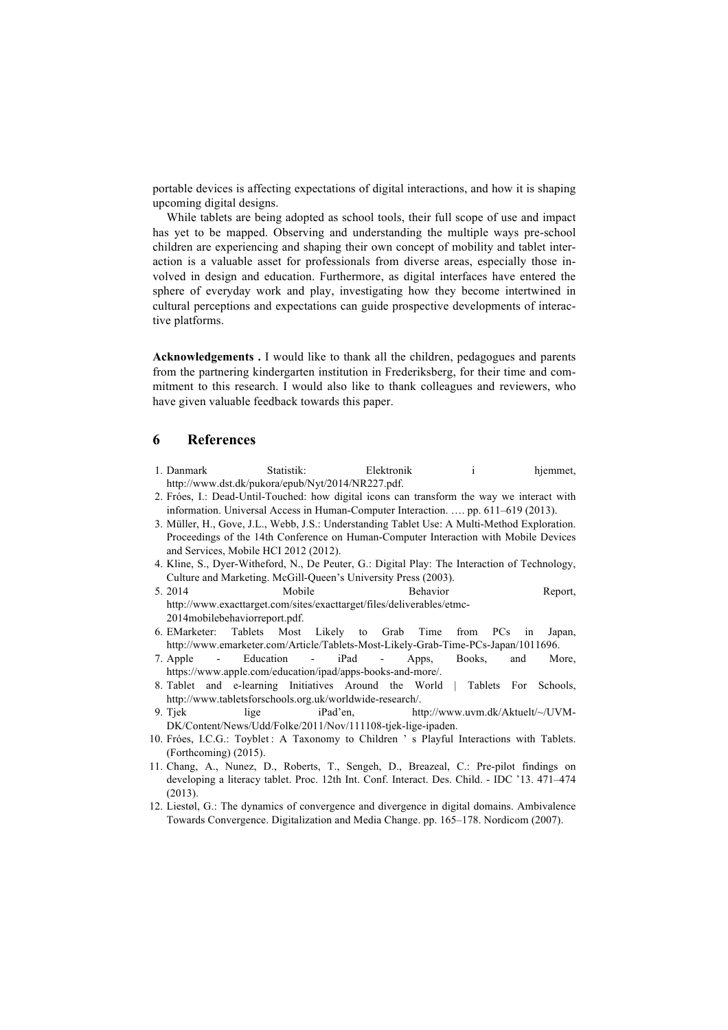portable devices is affecting expectations of digital interactions, and how it is shaping upcoming digital designs.

While tablets are being adopted as school tools, their full scope of use and impact has yet to be mapped. Observing and understanding the multiple ways pre-school children are experiencing and shaping their own concept of mobility and tablet interaction is a valuable asset for professionals from diverse areas, especially those involved in design and education. Furthermore, as digital interfaces have entered the sphere of everyday work and play, investigating how they become intertwined in cultural perceptions and expectations can guide prospective developments of interactive platforms.

**Acknowledgements .** I would like to thank all the children, pedagogues and parents from the partnering kindergarten institution in Frederiksberg, for their time and commitment to this research. I would also like to thank colleagues and reviewers, who have given valuable feedback towards this paper.

## **6 References**

- 1. Danmark Statistik: Elektronik i hjemmet, http://www.dst.dk/pukora/epub/Nyt/2014/NR227.pdf.
- 2. Fróes, I.: Dead-Until-Touched: how digital icons can transform the way we interact with information. Universal Access in Human-Computer Interaction. …. pp. 611–619 (2013).
- 3. Müller, H., Gove, J.L., Webb, J.S.: Understanding Tablet Use: A Multi-Method Exploration. Proceedings of the 14th Conference on Human-Computer Interaction with Mobile Devices and Services, Mobile HCI 2012 (2012).
- 4. Kline, S., Dyer-Witheford, N., De Peuter, G.: Digital Play: The Interaction of Technology, Culture and Marketing. McGill-Queen's University Press (2003).
- 5. 2014 Mobile Behavior Report, http://www.exacttarget.com/sites/exacttarget/files/deliverables/etmc-2014mobilebehaviorreport.pdf.
- 6. EMarketer: Tablets Most Likely to Grab Time from PCs in Japan, http://www.emarketer.com/Article/Tablets-Most-Likely-Grab-Time-PCs-Japan/1011696.
- 7. Apple Education iPad Apps, Books, and More, https://www.apple.com/education/ipad/apps-books-and-more/.
- 8. Tablet and e-learning Initiatives Around the World | Tablets For Schools, http://www.tabletsforschools.org.uk/worldwide-research/.
- 9. Tjek lige iPad'en, http://www.uvm.dk/Aktuelt/~/UVM-DK/Content/News/Udd/Folke/2011/Nov/111108-tjek-lige-ipaden.
- 10. Fróes, I.C.G.: Toyblet : A Taxonomy to Children ' s Playful Interactions with Tablets. (Forthcoming) (2015).
- 11. Chang, A., Nunez, D., Roberts, T., Sengeh, D., Breazeal, C.: Pre-pilot findings on developing a literacy tablet. Proc. 12th Int. Conf. Interact. Des. Child. - IDC '13. 471–474 (2013).
- 12. Liestøl, G.: The dynamics of convergence and divergence in digital domains. Ambivalence Towards Convergence. Digitalization and Media Change. pp. 165–178. Nordicom (2007).